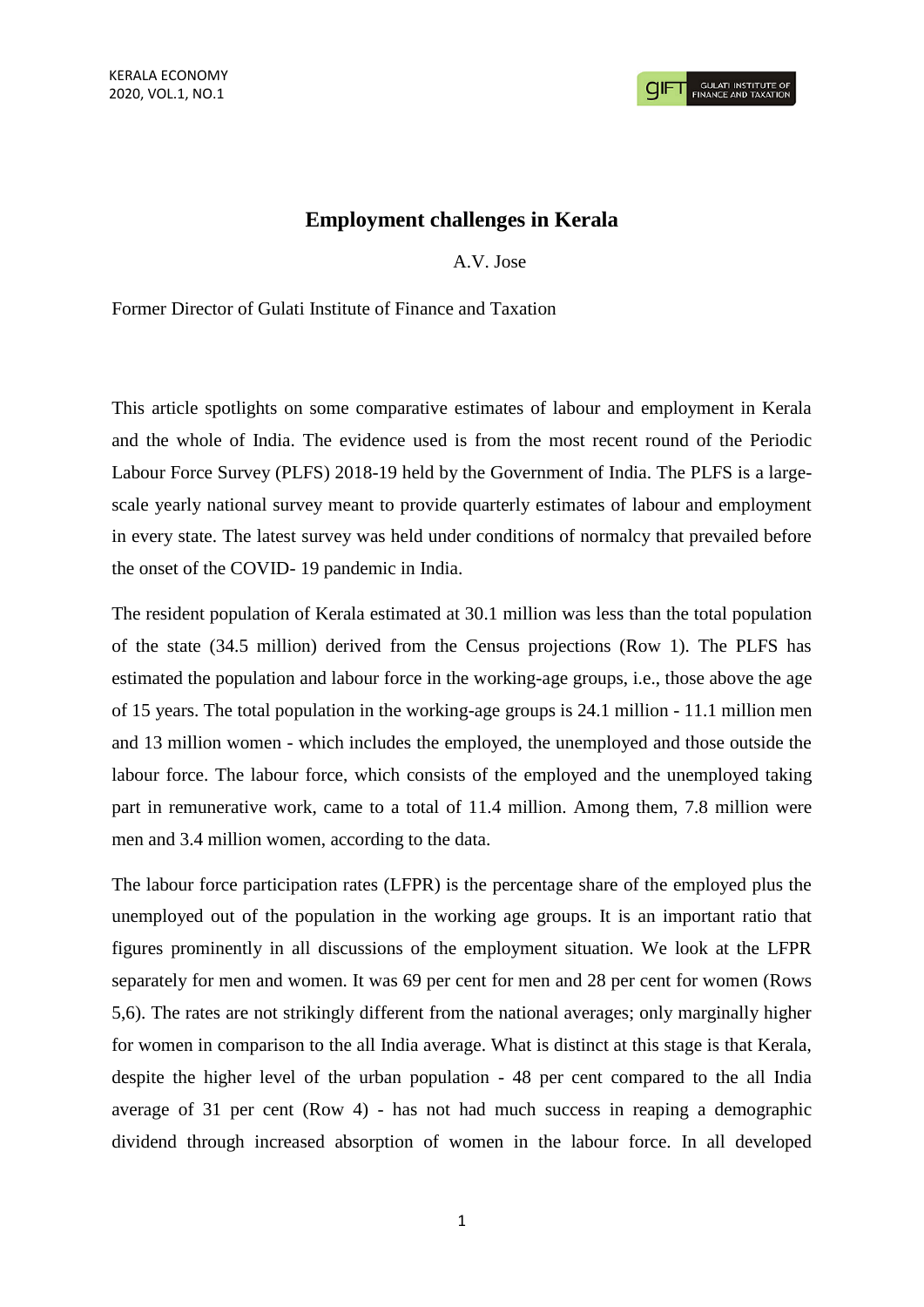## **Employment challenges in Kerala**

A.V. Jose

Former Director of Gulati Institute of Finance and Taxation

This article spotlights on some comparative estimates of labour and employment in Kerala and the whole of India. The evidence used is from the most recent round of the Periodic Labour Force Survey (PLFS) 2018-19 held by the Government of India. The PLFS is a largescale yearly national survey meant to provide quarterly estimates of labour and employment in every state. The latest survey was held under conditions of normalcy that prevailed before the onset of the COVID- 19 pandemic in India.

The resident population of Kerala estimated at 30.1 million was less than the total population of the state (34.5 million) derived from the Census projections (Row 1). The PLFS has estimated the population and labour force in the working-age groups, i.e., those above the age of 15 years. The total population in the working-age groups is 24.1 million - 11.1 million men and 13 million women - which includes the employed, the unemployed and those outside the labour force. The labour force, which consists of the employed and the unemployed taking part in remunerative work, came to a total of 11.4 million. Among them, 7.8 million were men and 3.4 million women, according to the data.

The labour force participation rates (LFPR) is the percentage share of the employed plus the unemployed out of the population in the working age groups. It is an important ratio that figures prominently in all discussions of the employment situation. We look at the LFPR separately for men and women. It was 69 per cent for men and 28 per cent for women (Rows 5,6). The rates are not strikingly different from the national averages; only marginally higher for women in comparison to the all India average. What is distinct at this stage is that Kerala, despite the higher level of the urban population - 48 per cent compared to the all India average of 31 per cent (Row 4) - has not had much success in reaping a demographic dividend through increased absorption of women in the labour force. In all developed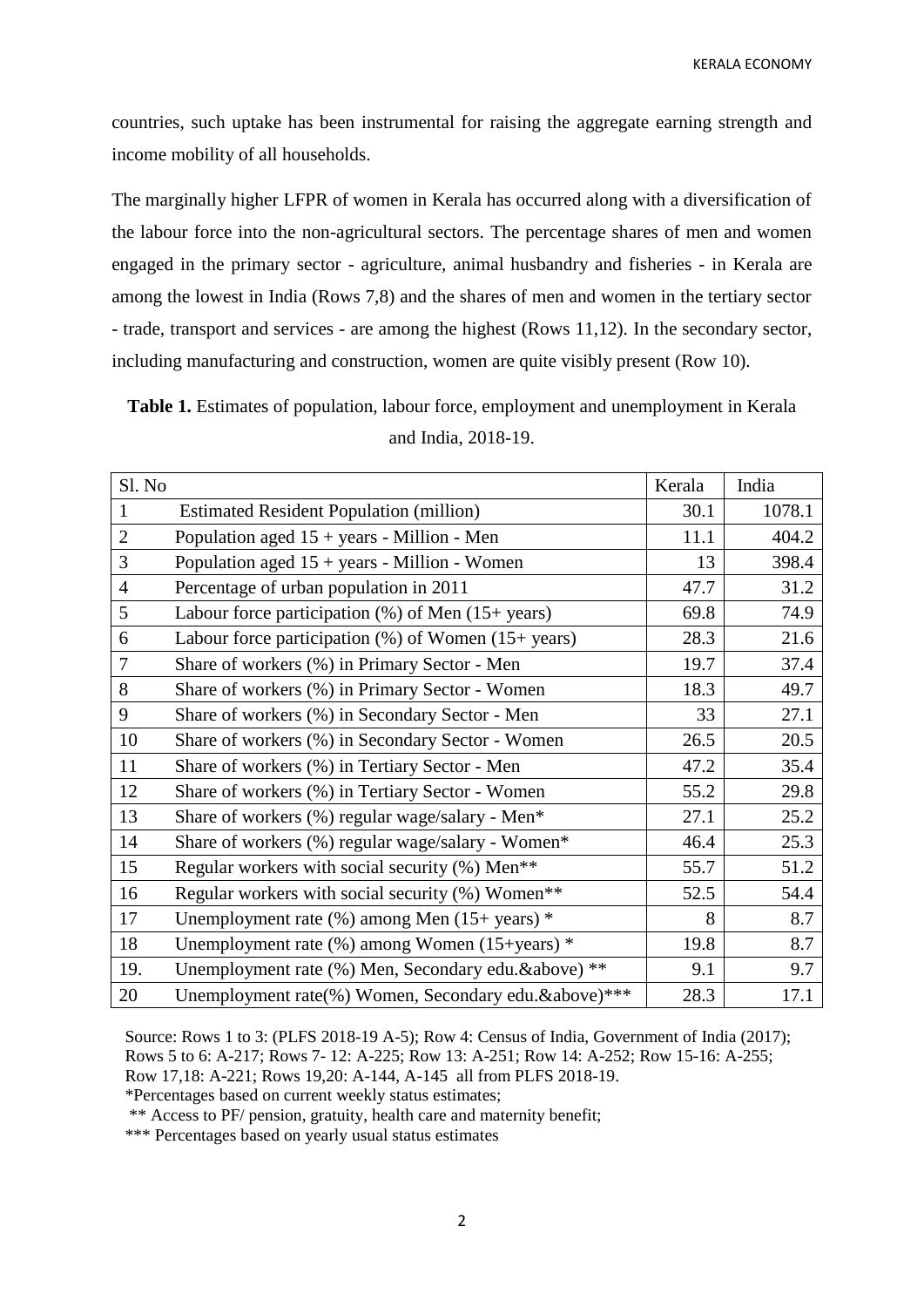countries, such uptake has been instrumental for raising the aggregate earning strength and income mobility of all households.

The marginally higher LFPR of women in Kerala has occurred along with a diversification of the labour force into the non-agricultural sectors. The percentage shares of men and women engaged in the primary sector - agriculture, animal husbandry and fisheries - in Kerala are among the lowest in India (Rows 7,8) and the shares of men and women in the tertiary sector - trade, transport and services - are among the highest (Rows 11,12). In the secondary sector, including manufacturing and construction, women are quite visibly present (Row 10).

**Table 1.** Estimates of population, labour force, employment and unemployment in Kerala and India, 2018-19.

| Sl. No         |                                                           | Kerala | India  |
|----------------|-----------------------------------------------------------|--------|--------|
| 1              | <b>Estimated Resident Population (million)</b>            | 30.1   | 1078.1 |
| $\overline{2}$ | Population aged $15 + \text{years}$ - Million - Men       | 11.1   | 404.2  |
| 3              | Population aged $15 + \text{years}$ - Million - Women     | 13     | 398.4  |
| $\overline{4}$ | Percentage of urban population in 2011                    | 47.7   | 31.2   |
| 5              | Labour force participation $(\%)$ of Men $(15+)$ years)   | 69.8   | 74.9   |
| 6              | Labour force participation $(\%)$ of Women $(15+)$ years) | 28.3   | 21.6   |
| 7              | Share of workers (%) in Primary Sector - Men              | 19.7   | 37.4   |
| 8              | Share of workers (%) in Primary Sector - Women            | 18.3   | 49.7   |
| 9              | Share of workers (%) in Secondary Sector - Men            | 33     | 27.1   |
| 10             | Share of workers (%) in Secondary Sector - Women          | 26.5   | 20.5   |
| 11             | Share of workers (%) in Tertiary Sector - Men             | 47.2   | 35.4   |
| 12             | Share of workers (%) in Tertiary Sector - Women           | 55.2   | 29.8   |
| 13             | Share of workers (%) regular wage/salary - Men*           | 27.1   | 25.2   |
| 14             | Share of workers (%) regular wage/salary - Women*         | 46.4   | 25.3   |
| 15             | Regular workers with social security (%) Men**            | 55.7   | 51.2   |
| 16             | Regular workers with social security (%) Women**          | 52.5   | 54.4   |
| 17             | Unemployment rate $(\%)$ among Men $(15+)$ years) *       | 8      | 8.7    |
| 18             | Unemployment rate $(\%)$ among Women $(15+)$ ears) *      | 19.8   | 8.7    |
| 19.            | Unemployment rate (%) Men, Secondary edu.&above) **       | 9.1    | 9.7    |
| 20             | Unemployment rate(%) Women, Secondary edu. & above)***    | 28.3   | 17.1   |

Source: Rows 1 to 3: (PLFS 2018-19 A-5); Row 4: Census of India, Government of India (2017); Rows 5 to 6: A-217; Rows 7- 12: A-225; Row 13: A-251; Row 14: A-252; Row 15-16: A-255; Row 17,18: A-221; Rows 19,20: A-144, A-145 all from PLFS 2018-19.

\*Percentages based on current weekly status estimates;

\*\* Access to PF/ pension, gratuity, health care and maternity benefit;

\*\*\* Percentages based on yearly usual status estimates

2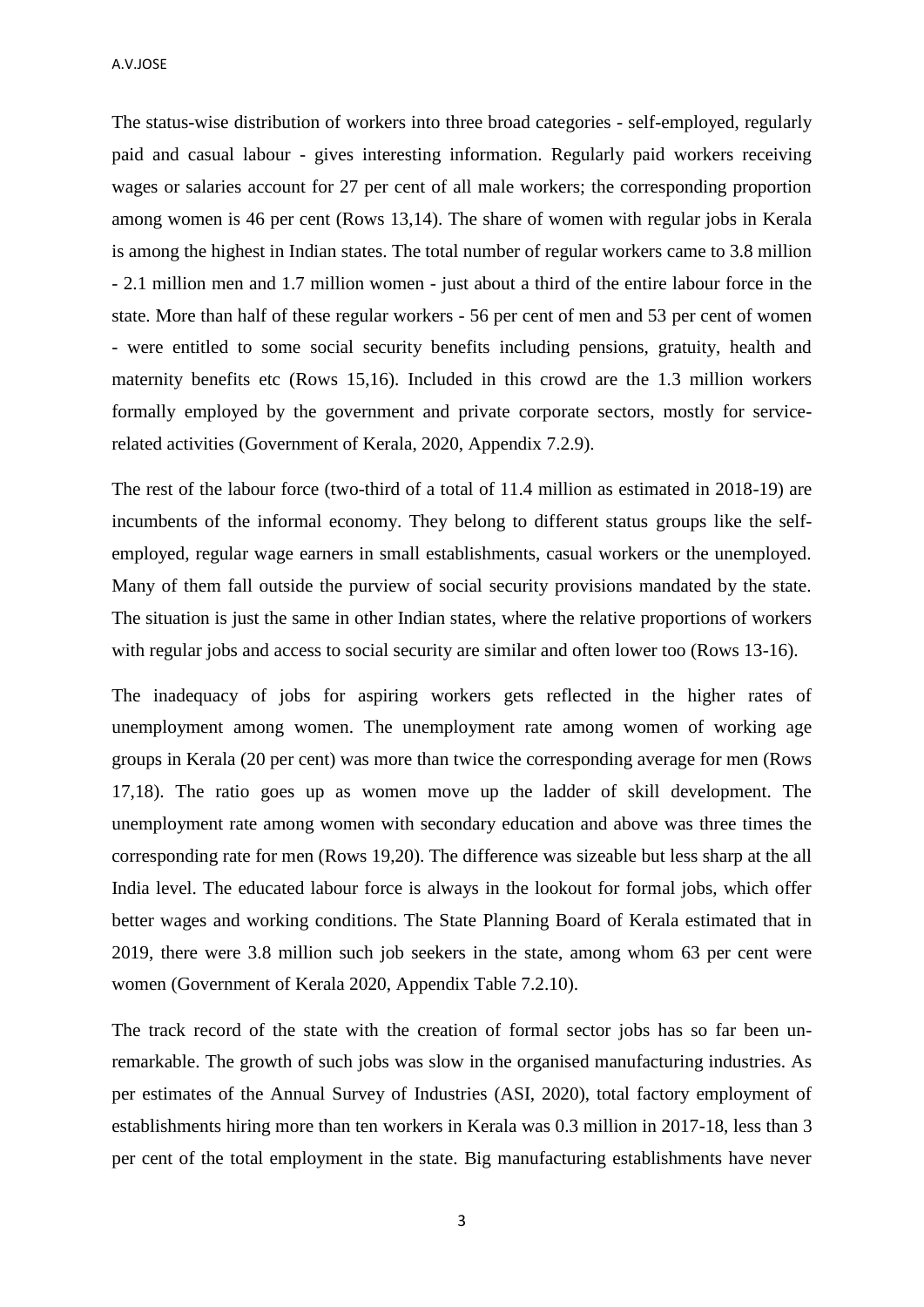A.V.JOSE

The status-wise distribution of workers into three broad categories - self-employed, regularly paid and casual labour - gives interesting information. Regularly paid workers receiving wages or salaries account for 27 per cent of all male workers; the corresponding proportion among women is 46 per cent (Rows 13,14). The share of women with regular jobs in Kerala is among the highest in Indian states. The total number of regular workers came to 3.8 million - 2.1 million men and 1.7 million women - just about a third of the entire labour force in the state. More than half of these regular workers - 56 per cent of men and 53 per cent of women - were entitled to some social security benefits including pensions, gratuity, health and maternity benefits etc (Rows 15,16). Included in this crowd are the 1.3 million workers formally employed by the government and private corporate sectors, mostly for servicerelated activities (Government of Kerala, 2020, Appendix 7.2.9).

The rest of the labour force (two-third of a total of 11.4 million as estimated in 2018-19) are incumbents of the informal economy. They belong to different status groups like the selfemployed, regular wage earners in small establishments, casual workers or the unemployed. Many of them fall outside the purview of social security provisions mandated by the state. The situation is just the same in other Indian states, where the relative proportions of workers with regular jobs and access to social security are similar and often lower too (Rows 13-16).

The inadequacy of jobs for aspiring workers gets reflected in the higher rates of unemployment among women. The unemployment rate among women of working age groups in Kerala (20 per cent) was more than twice the corresponding average for men (Rows 17,18). The ratio goes up as women move up the ladder of skill development. The unemployment rate among women with secondary education and above was three times the corresponding rate for men (Rows 19,20). The difference was sizeable but less sharp at the all India level. The educated labour force is always in the lookout for formal jobs, which offer better wages and working conditions. The State Planning Board of Kerala estimated that in 2019, there were 3.8 million such job seekers in the state, among whom 63 per cent were women (Government of Kerala 2020, Appendix Table 7.2.10).

The track record of the state with the creation of formal sector jobs has so far been unremarkable. The growth of such jobs was slow in the organised manufacturing industries. As per estimates of the Annual Survey of Industries (ASI, 2020), total factory employment of establishments hiring more than ten workers in Kerala was 0.3 million in 2017-18, less than 3 per cent of the total employment in the state. Big manufacturing establishments have never